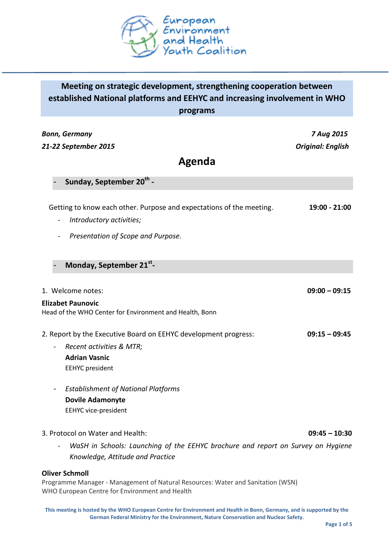

# **Meeting on strategic development, strengthening cooperation between established National platforms and EEHYC and increasing involvement in WHO**

**programs**

| Bonn, Germany                                                                       | 7 Aug 2015               |
|-------------------------------------------------------------------------------------|--------------------------|
| 21-22 September 2015                                                                | <b>Original: English</b> |
| Agenda                                                                              |                          |
| Sunday, September 20 <sup>th</sup> -                                                |                          |
| Getting to know each other. Purpose and expectations of the meeting.                | 19:00 - 21:00            |
| Introductory activities;                                                            |                          |
| Presentation of Scope and Purpose.                                                  |                          |
| Monday, September 21st-                                                             |                          |
|                                                                                     |                          |
| 1. Welcome notes:                                                                   | $09:00 - 09:15$          |
| <b>Elizabet Paunovic</b><br>Head of the WHO Center for Environment and Health, Bonn |                          |
| 2. Report by the Executive Board on EEHYC development progress:                     | $09:15 - 09:45$          |
| Recent activities & MTR;                                                            |                          |
| <b>Adrian Vasnic</b>                                                                |                          |
| <b>EEHYC</b> president                                                              |                          |
| <b>Establishment of National Platforms</b>                                          |                          |
| <b>Dovile Adamonyte</b>                                                             |                          |
| <b>EEHYC vice-president</b>                                                         |                          |
| 3. Protocol on Water and Health:                                                    | $09:45 - 10:30$          |
| WaSH in Schools: Launching of the EEHYC brochure and report on Survey on Hygiene    |                          |
| Knowledge, Attitude and Practice                                                    |                          |

### **Oliver Schmoll**

Programme Manager - Management of Natural Resources: Water and Sanitation (WSN) WHO European Centre for Environment and Health

**This meeting is hosted by the WHO European Centre for Environment and Health in Bonn, Germany, and is supported by the German Federal Ministry for the Environment, Nature Conservation and Nuclear Safety.**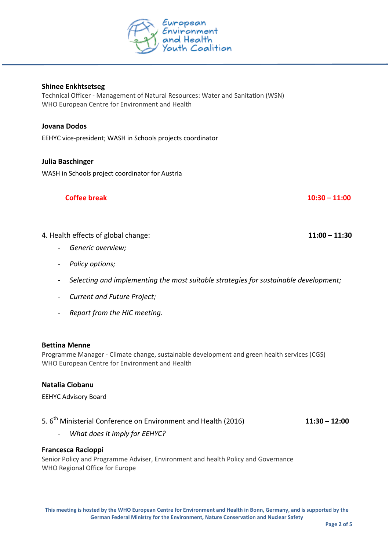

# **Shinee Enkhtsetseg**

Technical Officer - Management of Natural Resources: Water and Sanitation (WSN) WHO European Centre for Environment and Health

# **Jovana Dodos**

EEHYC vice-president; WASH in Schools projects coordinator

# **Julia Baschinger**

WASH in Schools project coordinator for Austria

# **Coffee break 10:30 – 11:00**

# 4. Health effects of global change: **11:00 – 11:30**

- *Generic overview;*
- *Policy options;*
- *Selecting and implementing the most suitable strategies for sustainable development;*
- *Current and Future Project;*
- *Report from the HIC meeting.*

#### **Bettina Menne**

Programme Manager - Climate change, sustainable development and green health services (CGS) WHO European Centre for Environment and Health

## **Natalia Ciobanu**

# EEHYC Advisory Board

# 5. 6th Ministerial Conference on Environment and Health (2016) **11:30 – 12:00**

- *What does it imply for EEHYC?*

#### **Francesca Racioppi**

Senior Policy and Programme Adviser, Environment and health Policy and Governance WHO Regional Office for Europe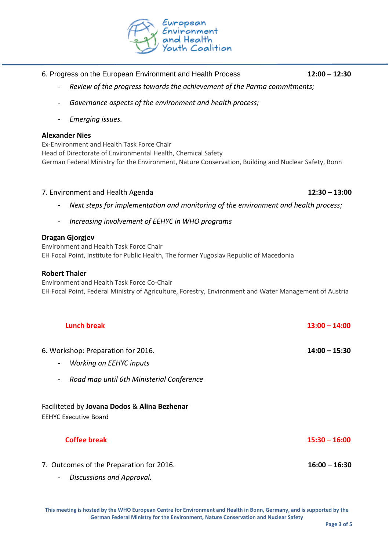

# ropean<br>vironment<br>Id Health

- 6. Progress on the European Environment and Health Process **12:00 – 12:30**
	- *Review of the progress towards the achievement of the Parma commitments;*
	- *Governance aspects of the environment and health process;*
	- *Emerging issues.*

# **Alexander Nies**

Ex-Environment and Health Task Force Chair Head of Directorate of Environmental Health, Chemical Safety German Federal Ministry for the Environment, Nature Conservation, Building and Nuclear Safety, Bonn

# 7. Environment and Health Agenda **12:30 – 13:00**

- Next steps for implementation and monitoring of the environment and health process;
- *Increasing involvement of EEHYC in WHO programs*

# **Dragan Gjorgjev**

Environment and Health Task Force Chair EH Focal Point, Institute for Public Health, The former Yugoslav Republic of Macedonia

# **Robert Thaler**

Environment and Health Task Force Co-Chair EH Focal Point, Federal Ministry of Agriculture, Forestry, Environment and Water Management of Austria

| <b>Lunch break</b>                                                                                                                             | $13:00 - 14:00$ |
|------------------------------------------------------------------------------------------------------------------------------------------------|-----------------|
| 6. Workshop: Preparation for 2016.<br>Working on EEHYC inputs<br>$\blacksquare$<br>Road map until 6th Ministerial Conference<br>$\blacksquare$ | $14:00 - 15:30$ |
| Faciliteted by Jovana Dodos & Alina Bezhenar<br><b>EEHYC Executive Board</b>                                                                   |                 |
| <b>Coffee break</b>                                                                                                                            | $15:30 - 16:00$ |
| 7. Outcomes of the Preparation for 2016.<br>Discussions and Approval.<br>Ξ.                                                                    | $16:00 - 16:30$ |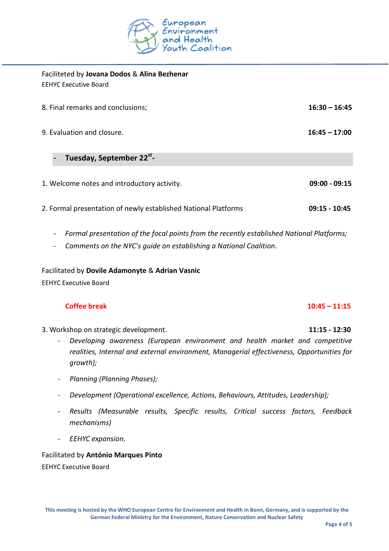

| Faciliteted by Jovana Dodos & Alina Bezhenar<br><b>EEHYC Executive Board</b> |                 |
|------------------------------------------------------------------------------|-----------------|
| 8. Final remarks and conclusions;                                            | $16:30 - 16:45$ |
| 9. Evaluation and closure.                                                   | $16:45 - 17:00$ |
| Tuesday, September 22 <sup>st</sup> -                                        |                 |
| 1. Welcome notes and introductory activity.                                  | $09:00 - 09:15$ |
| 2. Formal presentation of newly established National Platforms               | $09:15 - 10:45$ |

- *Formal presentation of the focal points from the recently established National Platforms;*
- *Comments on the NYC's guide on establishing a National Coalition*.

# Facilitated by **Dovile Adamonyte** & **Adrian Vasnic**

EEHYC Executive Board

# **Coffee break 10:45 – 11:15**

- 3. Workshop on strategic development. **11:15 - 12:30**
	- *Developing awareness (European environment and health market and competitive realities, Internal and external environment, Managerial effectiveness, Opportunities for growth);*
	- *Planning (Planning Phases);*
	- *Development (Operational excellence, Actions, Behaviours, Attitudes, Leadership);*
	- *Results (Measurable results, Specific results, Critical success factors, Feedback mechanisms)*
	- *EEHYC expansion.*

Facilitated by **António Marques Pinto** EEHYC Executive Board